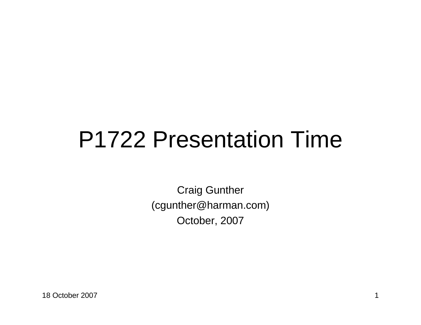## P1722 Presentation Time

Craig Gunther(cgunther@harman.com)October, 2007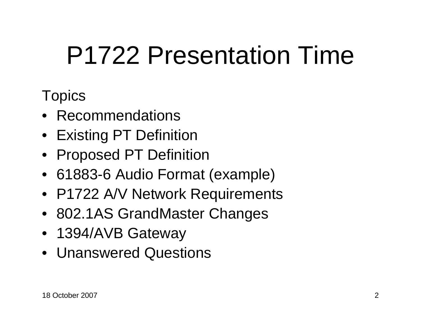# P1722 Presentation Time

#### **Topics**

- Recommendations
- Existing PT Definition
- Proposed PT Definition
- 61883-6 Audio Format (example)
- P1722 A/V Network Requirements
- 802.1AS GrandMaster Changes
- 1394/AVB Gateway
- Unanswered Questions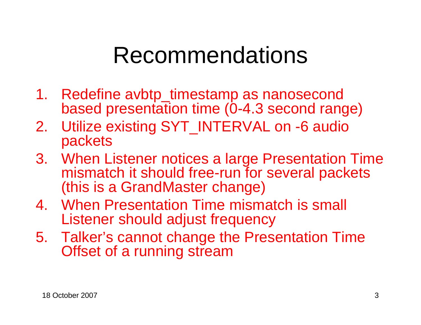### Recommendations

- 1. Redefine avbtp\_timestamp as nanosecond based presentation time (0-4.3 second range)
- 2. Utilize existing SYT\_INTERVAL on -6 audio packets
- 3. When Listener notices a large Presentation Time mismatch it should free-run for several packets (this is a GrandMaster change)
- 4. When Presentation Time mismatch is small Listener should adjust frequency
- 5. Talker's cannot change the Presentation Time Offset of a running stream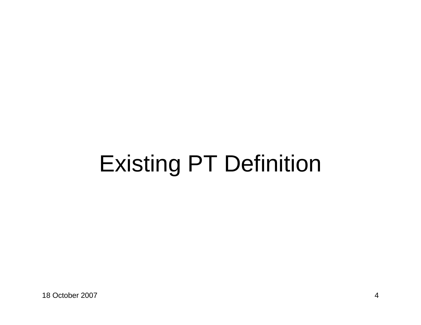## Existing PT Definition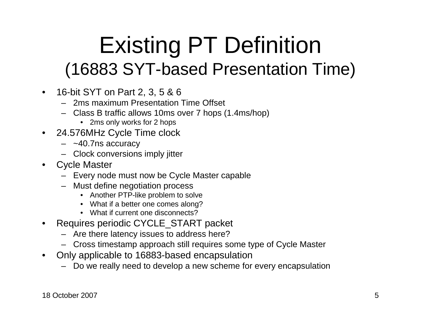### Existing PT Definition (16883 SYT-based Presentation Time)

- 16-bit SYT on Part 2, 3, 5 & 6
	- 2ms maximum Presentation Time Offset
	- Class B traffic allows 10ms over 7 hops (1.4ms/hop)
		- 2ms only works for 2 hops
- 24.576MHz Cycle Time clock $\bullet$ 
	- ~40.7ns accuracy
	- Clock conversions imply jitter
- $\bullet$  Cycle Master
	- Every node must now be Cycle Master capable
	- Must define negotiation process
		- Another PTP-like problem to solve
		- What if a better one comes along?
		- What if current one disconnects?
- Requires periodic CYCLE\_START packet •
	- Are there latency issues to address here?
	- Cross timestamp approach still requires some type of Cycle Master
- $\bullet$  Only applicable to 16883-based encapsulation
	- Do we really need to develop a new scheme for every encapsulation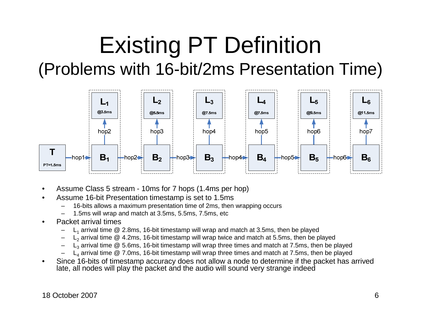### Existing PT Definition (Problems with 16-bit/2ms Presentation Time)



- •Assume Class 5 stream - 10ms for 7 hops (1.4ms per hop)
- • Assume 16-bit Presentation timestamp is set to 1.5ms
	- 16-bits allows a maximum presentation time of 2ms, then wrapping occurs–
	- –1.5ms will wrap and match at 3.5ms, 5.5ms, 7.5ms, etc
- • Packet arrival times
	- $L_1$  arrival time @ 2.8ms, 16-bit timestamp will wrap and match at 3.5ms, then be played –
	- – $L_2$  arrival time @ 4.2ms, 16-bit timestamp will wrap twice and match at 5.5ms, then be played
	- – $L_3$  arrival time  $@$  5.6ms, 16-bit timestamp will wrap three times and match at 7.5ms, then be played
	- – $L_4$  arrival time  $@$  7.0ms, 16-bit timestamp will wrap three times and match at 7.5ms, then be played
- • Since 16-bits of timestamp accuracy does not allow a node to determine if the packet has arrived late, all nodes will play the packet and the audio will sound very strange indeed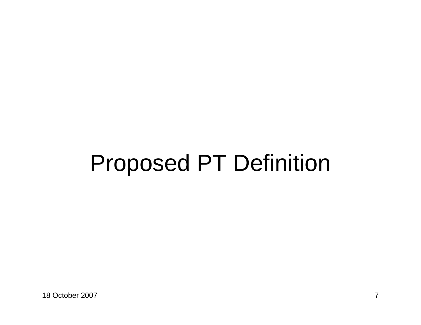## Proposed PT Definition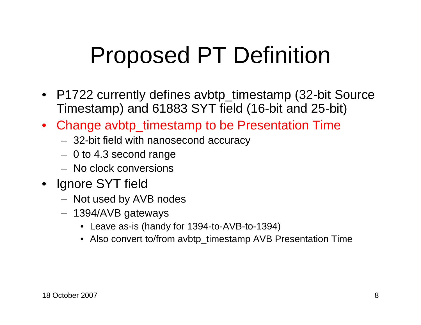## Proposed PT Definition

- P1722 currently defines avbtp\_timestamp (32-bit Source Timestamp) and 61883 SYT field (16-bit and 25-bit)
- Change avbtp\_timestamp to be Presentation Time
	- 32-bit field with nanosecond accuracy
	- 0 to 4.3 second range
	- No clock conversions
- Ignore SYT field
	- $-$  Not used by  $\Delta$ ' Not used by AVB nodes
	- 1394/AVB gateways
		- Leave as-is (handy for 1394-to-AVB-to-1394)
		- Also convert to/from avbtp\_timestamp AVB Presentation Time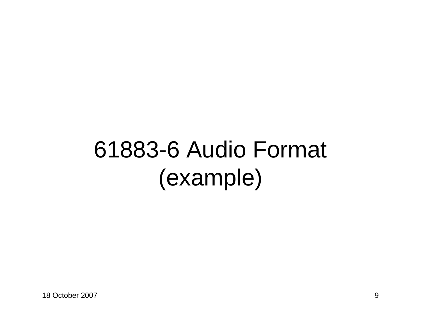## 61883-6 Audio Format (example)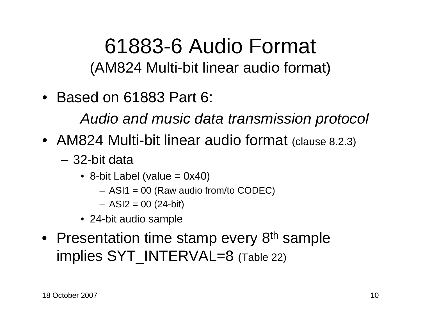#### 61883-6 Audio Format (AM824 Multi-bit linear audio format)

• Based on 61883 Part 6:

Audio and music data transmission protocol

- AM824 Multi-bit linear audio format (clause 8.2.3)
	- 32-bit data
		- 8-bit Label (value = 0x40)
			- ASI1 = 00 (Raw audio from/to CODEC)
			- ASI2 = 00 (24-bit)
		- 24-bit audio sample
- Presentation time stamp every 8<sup>th</sup> sample implies SYT\_INTERVAL=8 (Table 22)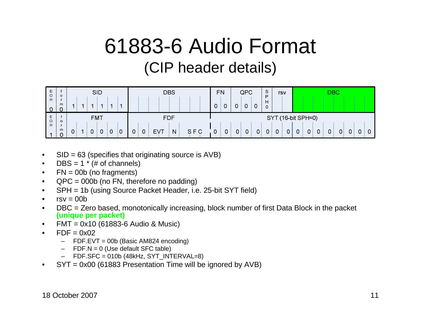#### 61883-6 Audio Format (CIP header details)



- •SID = 63 (specifies that originating source is AVB)
- • $DBS = 1 * (# of channels)$
- • $FN = 00b$  (no fragments)
- QPC = 000b (no FN, therefore no padding)•
- SPH = 1b (using Source Packet Header, i.e. 25-bit SYT field)•
- • $rsv = 00b$
- DBC = Zero based, monotonically increasing, block number of first Data Block in the packet •**(unique per packet)**
- FMT = 0x10 (61883-6 Audio & Music)•
- • $FDF = 0x02$ 
	- FDF.EVT = 00b (Basic AM824 encoding)
	- –FDF.N = 0 (Use default SFC table)
	- FDF.SFC = 010b (48kHz, SYT\_INTERVAL=8)–
- SYT = 0x00 (61883 Presentation Time will be ignored by AVB)•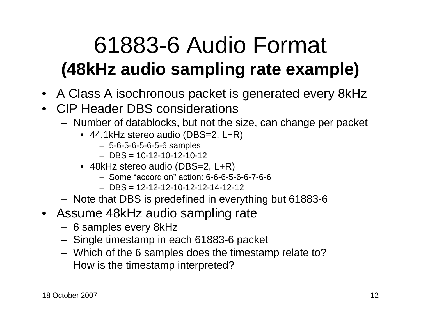### 61883-6 Audio Format **(48kHz audio sampling rate example)**

- A Class A isochronous packet is generated every 8kHz
- CIP Header DBS considerations
	- $-$  Number of datablocks, but not the Number of datablocks, but not the size, can change per packet
		- 44.1kHz stereo audio (DBS=2, L+R)
			- 5-6-5-6-5-6-5-6 samples
			- DBS = 10-12-10-12-10-12
		- 48kHz stereo audio (DBS=2, L+R)
			- Some "accordion" action: 6-6-6-5-6-6-7-6-6
			- DBS = 12-12-12-10-12-12-14-12-12
	- Note that DBS is predefined in everything but 61883-6
- Assume 48kHz audio sampling rate
	- 6 samples every 8kHz
	- Singla timactamn in *c* Single timestamp in each 61883-6 packet
	- Which of the 6 samples does the timestamp relate to?
	- How is the timestamp interpreted?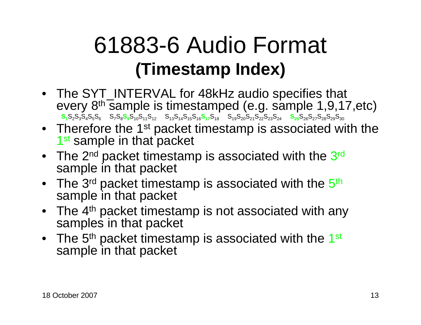### 61883-6 Audio Format **(Timestamp Index)**

- The SYT\_INTERVAL for 48kHz audio specifies that every 8th sample is timestamped (e.g. sample 1,9,17,etc) $\overline{\textbf{S}_1\textbf{S}_2\textbf{S}_3\textbf{S}_4\textbf{S}_5\textbf{S}_6}$   $\overline{\textbf{S}_7\textbf{S}_8\textbf{S}_9\textbf{S}_{10}\textbf{S}_{11}\textbf{S}_{12}}$   $\overline{\textbf{S}_{13}\textbf{S}_{14}\textbf{S}_{15}\textbf{S}_{16}\textbf{S}_{17}\textbf{S}_{18}}$   $\overline{\textbf{S}_{19}\textbf{S}_{20}\textbf{S}_{21}\textbf{S}_{22}\textbf{S}_{23}\textbf{S}_{24}}$   $\overline{\textbf{S}_{$
- Therefore the 1<sup>st</sup> packet timestamp is associated with the 1<sup>st</sup> sample in that packet
- The 2 $^{\sf nd}$  packet timestamp is associated with the 3 $^{\sf rd}$ sample in that packet
- $\bullet~$  The 3rd packet timestamp is associated with the  $5^{\text{th}}$ sample in that packet
- The 4<sup>th</sup> packet timestamp is not associated with any samples in that packet
- The 5<sup>th</sup> packet timestamp is associated with the 1<sup>st</sup> sample in that packet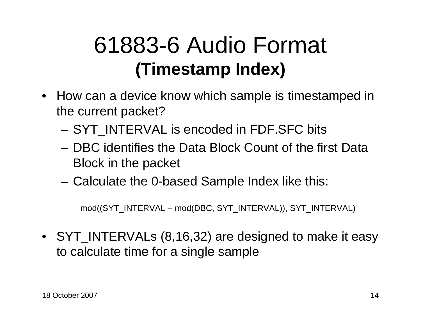### 61883-6 Audio Format **(Timestamp Index)**

- How can a device know which sample is timestamped in the current packet?
	- SYT\_INTERVAL is encoded in FDF.SFC bits
	- DBC identifies the Data Block Count of the first Data Block in the packet
	- –Calculate the 0-based Sample Index like this:

mod((SYT\_INTERVAL – mod(DBC, SYT\_INTERVAL)), SYT\_INTERVAL)

• SYT\_INTERVALs (8,16,32) are designed to make it easy to calculate time for a single sample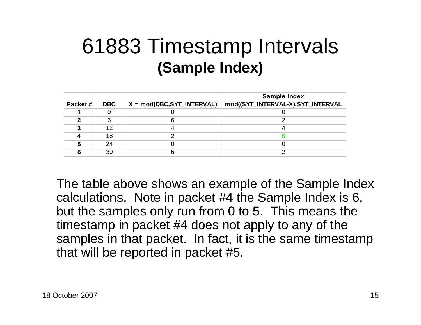#### 61883 Timestamp Intervals **(Sample Index)**

|         |            |                              | <b>Sample Index</b>               |
|---------|------------|------------------------------|-----------------------------------|
| Packet# | <b>DBC</b> | $X = mod(DBC, SYT_INTERVAL)$ | mod((SYT_INTERVAL-X),SYT_INTERVAL |
|         |            |                              |                                   |
|         |            |                              |                                   |
|         | 12         |                              |                                   |
|         | 18         |                              |                                   |
|         | 24         |                              |                                   |
|         | 30         |                              |                                   |

The table above shows an example of the Sample Index calculations. Note in packet #4 the Sample Index is 6, but the samples only run from 0 to 5. This means the timestamp in packet #4 does not apply to any of the samples in that packet. In fact, it is the same timestamp that will be reported in packet #5.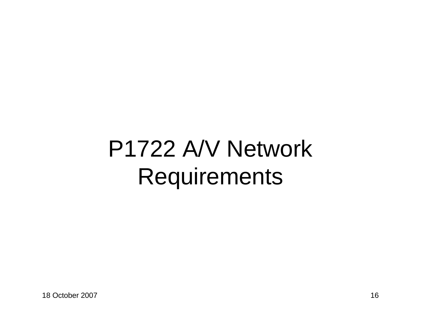## P1722 A/V Network Requirements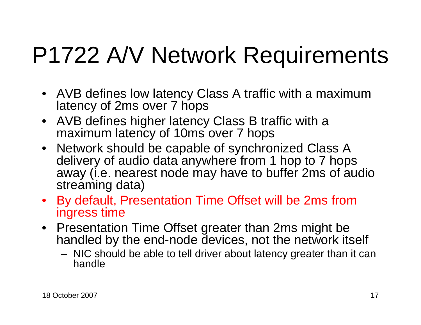## P1722 A/V Network Requirements

- AVB defines low latency Class A traffic with a maximum latency of 2ms over 7 hops
- AVB defines higher latency Class B traffic with a maximum latency of 10ms over 7 hops
- Network should be capable of synchronized Class A delivery of audio data anywhere from 1 hop to 7 hops away (i.e. nearest node may have to buffer 2ms of audio streaming data)
- By default, Presentation Time Offset will be 2ms from ingress time
- Presentation Time Offset greater than 2ms might be handled by the end-node devices, not the network itself
	- NIC should be able to tell driver about latency greater than it can handle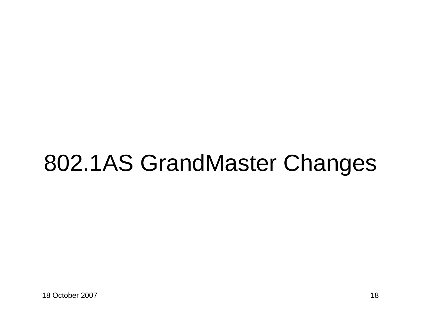## 802.1AS GrandMaster Changes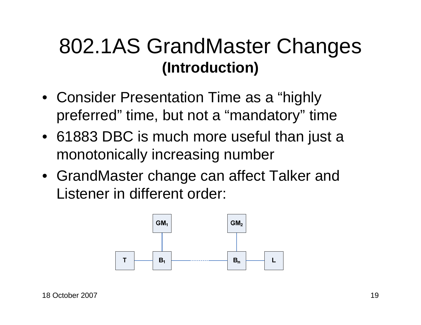#### 802.1AS GrandMaster Changes **(Introduction)**

- Consider Presentation Time as a "highly preferred" time, but not a "mandatory" time
- 61883 DBC is much more useful than just a monotonically increasing number
- GrandMaster change can affect Talker and Listener in different order:

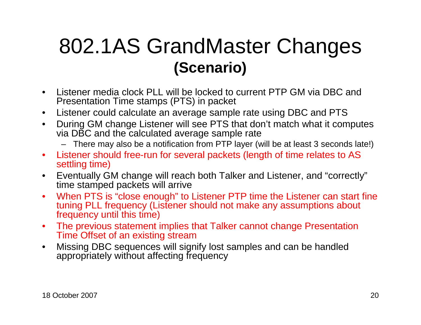#### 802.1AS GrandMaster Changes **(Scenario)**

- $\bullet$  Listener media clock PLL will be locked to current PTP GM via DBC and Presentation Time stamps (PTS) in packet
- $\bullet$ Listener could calculate an average sample rate using DBC and PTS
- During GM change Listener will see PTS that don't match what it computes  $\bullet$ via DBC and the calculated average sample rate
	- There may also be a notification from PTP layer (will be at least 3 seconds late!)
- $\bullet$  Listener should free-run for several packets (length of time relates to AS settling time)
- Eventually GM change will reach both Talker and Listener, and "correctly" $\bullet$ time stamped packets will arrive
- When PTS is "close enough" to Listener PTP time the Listener can start fine  $\bullet$ tuning PLL frequency (Listener should not make any assumptions about frequency until this time)
- The previous statement implies that Talker cannot change Presentation  $\bullet$ Time Offset of an existing stream
- Missing DBC sequences will signify lost samples and can be handled  $\bullet$ appropriately without affecting frequency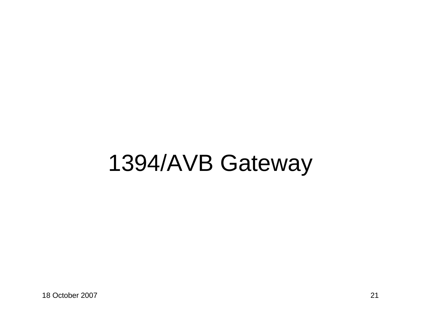### 1394/AVB Gateway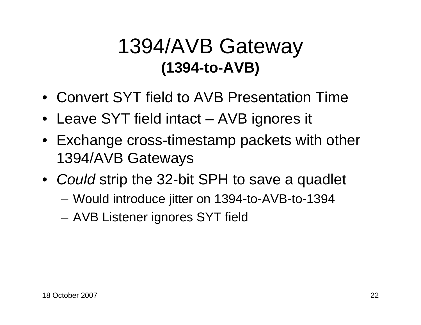#### 1394/AVB Gateway **(1394-to-AVB)**

- Convert SYT field to AVB Presentation Time
- Leave SYT field intact AVB ignores it
- Exchange cross-timestamp packets with other 1394/AVB Gateways
- Could strip the 32-bit SPH to save a quadlet
	- Would introduce jitter on 1394-to-AVB-to-1394
	- AVB Listener ignores SYT field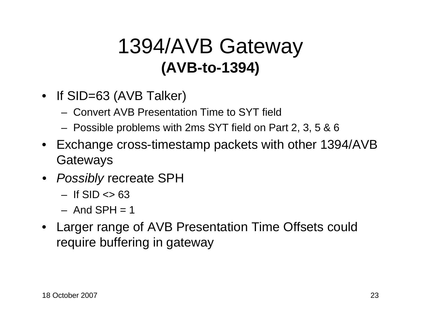#### 1394/AVB Gateway **(AVB-to-1394)**

- If SID=63 (AVB Talker)
	- Convert AVB Presentation Time to SYT field
	- Possible problems with 2ms SYT field on Part 2, 3, 5 & 6
- Exchange cross-timestamp packets with other 1394/AVB **Gateways**
- Possibly recreate SPH
	- If  $\text{SID} \ll 63$
	- And  $SPH = 1$
- Larger range of AVB Presentation Time Offsets could require buffering in gateway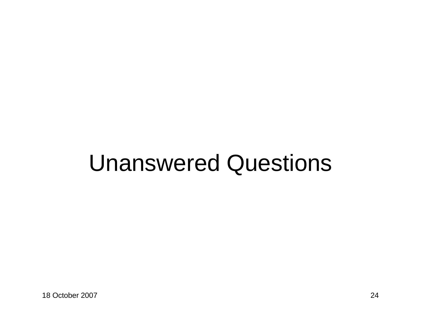### Unanswered Questions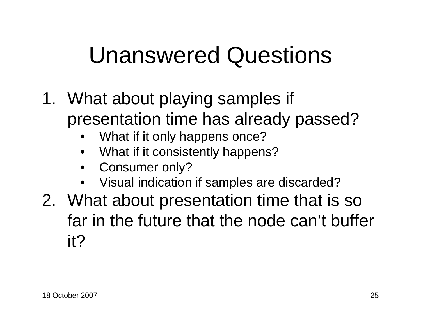## Unanswered Questions

- 1. What about playing samples if presentation time has already passed?
	- •What if it only happens once?
	- What if it consistently happens?•
	- •Consumer only?
	- Visual indication if samples are discarded?•
- 2. What about presentation time that is so far in the future that the node can't buffer it?